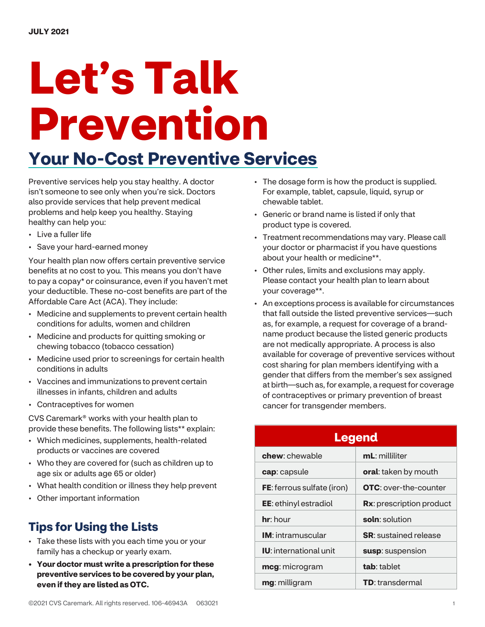# Let's Talk Prevention

## Your No-Cost Preventive Services

Preventive services help you stay healthy. A doctor isn't someone to see only when you're sick. Doctors also provide services that help prevent medical problems and help keep you healthy. Staying healthy can help you:

- Live a fuller life
- Save your hard-earned money

Your health plan now offers certain preventive service benefits at no cost to you. This means you don't have to pay a copay\* or coinsurance, even if you haven't met your deductible. These no-cost benefits are part of the Affordable Care Act (ACA). They include:

- Medicine and supplements to prevent certain health conditions for adults, women and children
- Medicine and products for quitting smoking or chewing tobacco (tobacco cessation)
- Medicine used prior to screenings for certain health conditions in adults
- Vaccines and immunizations to prevent certain illnesses in infants, children and adults
- Contraceptives for women

CVS Caremark® works with your health plan to provide these benefits. The following lists\*\* explain:

- Which medicines, supplements, health-related products or vaccines are covered
- Who they are covered for (such as children up to age six or adults age 65 or older)
- What health condition or illness they help prevent
- Other important information

## Tips for Using the Lists

- Take these lists with you each time you or your family has a checkup or yearly exam.
- Your doctor must write a prescription for these preventive services to be covered by your plan, even if they are listed as OTC.
- The dosage form is how the product is supplied. For example, tablet, capsule, liquid, syrup or chewable tablet.
- Generic or brand name is listed if only that product type is covered.
- Treatment recommendations may vary. Please call your doctor or pharmacist if you have questions about your health or medicine\*\*.
- Other rules, limits and exclusions may apply. Please contact your health plan to learn about your coverage\*\*.
- An exceptions process is available for circumstances that fall outside the listed preventive services—such as, for example, a request for coverage of a brandname product because the listed generic products are not medically appropriate. A process is also available for coverage of preventive services without cost sharing for plan members identifying with a gender that differs from the member's sex assigned at birth—such as, for example, a request for coverage of contraceptives or primary prevention of breast cancer for transgender members.

| <b>Legend</b>                     |                               |  |
|-----------------------------------|-------------------------------|--|
| chew: chewable                    | mL: milliliter                |  |
| cap: capsule                      | oral: taken by mouth          |  |
| <b>FE:</b> ferrous sulfate (iron) | <b>OTC</b> : over-the-counter |  |
| <b>EE:</b> ethinyl estradiol      | Rx: prescription product      |  |
| $hr:$ hour                        | soln: solution                |  |
| <b>IM</b> : intramuscular         | <b>SR</b> : sustained release |  |
| <b>IU:</b> international unit     | susp: suspension              |  |
| mcg: microgram                    | tab: tablet                   |  |
| mg: milligram                     | <b>TD</b> : transdermal       |  |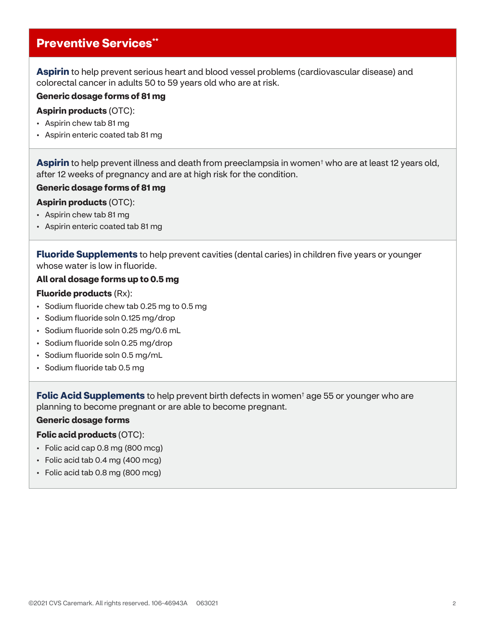## **Preventive Services\*\***

Aspirin to help prevent serious heart and blood vessel problems (cardiovascular disease) and colorectal cancer in adults 50 to 59 years old who are at risk.

#### Generic dosage forms of 81 mg

#### Aspirin products (OTC):

- Aspirin chew tab 81 mg
- Aspirin enteric coated tab 81 mg

Aspirin to help prevent illness and death from preeclampsia in women<sup>†</sup> who are at least 12 years old, after 12 weeks of pregnancy and are at high risk for the condition.

#### Generic dosage forms of 81 mg

#### Aspirin products (OTC):

- Aspirin chew tab 81 mg
- Aspirin enteric coated tab 81 mg

**Fluoride Supplements** to help prevent cavities (dental caries) in children five years or younger whose water is low in fluoride.

#### All oral dosage forms up to 0.5 mg

#### Fluoride products (Rx):

- Sodium fluoride chew tab 0.25 mg to 0.5 mg
- Sodium fluoride soln 0.125 mg/drop
- Sodium fluoride soln 0.25 mg/0.6 mL
- Sodium fluoride soln 0.25 mg/drop
- Sodium fluoride soln 0.5 mg/mL
- Sodium fluoride tab 0.5 mg

Folic Acid Supplements to help prevent birth defects in women<sup>t</sup> age 55 or younger who are planning to become pregnant or are able to become pregnant.

#### Generic dosage forms

#### Folic acid products (OTC):

- Folic acid cap 0.8 mg (800 mcg)
- Folic acid tab 0.4 mg (400 mcg)
- Folic acid tab 0.8 mg (800 mcg)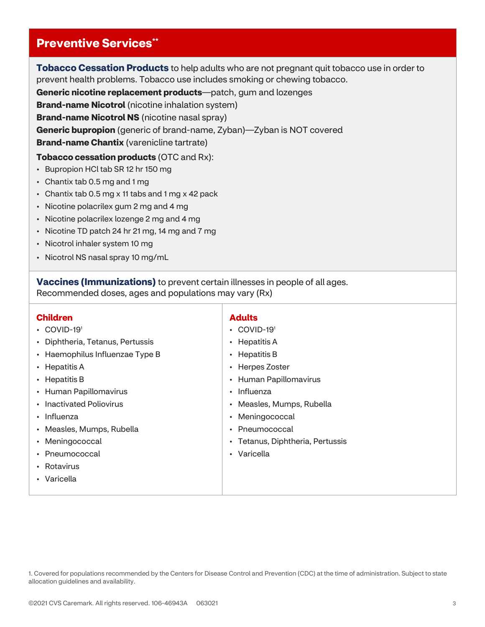## **Preventive Services\*\***

**Tobacco Cessation Products** to help adults who are not pregnant quit tobacco use in order to prevent health problems. Tobacco use includes smoking or chewing tobacco.

Generic nicotine replacement products—patch, gum and lozenges

**Brand-name Nicotrol** (nicotine inhalation system)

**Brand-name Nicotrol NS** (nicotine nasal spray)

Generic bupropion (generic of brand-name, Zyban)—Zyban is NOT covered

**Brand-name Chantix** (varenicline tartrate)

Tobacco cessation products (OTC and Rx):

- Bupropion HCl tab SR 12 hr 150 mg
- Chantix tab 0.5 mg and 1 mg
- Chantix tab 0.5 mg x 11 tabs and 1 mg x 42 pack
- Nicotine polacrilex gum 2 mg and 4 mg
- Nicotine polacrilex lozenge 2 mg and 4 mg
- Nicotine TD patch 24 hr 21 mg, 14 mg and 7 mg
- Nicotrol inhaler system 10 mg
- Nicotrol NS nasal spray 10 mg/mL

Vaccines (Immunizations) to prevent certain illnesses in people of all ages.

Recommended doses, ages and populations may vary (Rx)

#### Children

- COVID-19<sup>1</sup>
- Diphtheria, Tetanus, Pertussis
- Haemophilus Influenzae Type B
- Hepatitis A
- Hepatitis B
- Human Papillomavirus
- Inactivated Poliovirus
- Influenza
- Measles, Mumps, Rubella
- Meningococcal
- Pneumococcal
- Rotavirus
- Varicella

#### Adults

- COVID-19<sup>1</sup>
- Hepatitis A
- Hepatitis B
- Herpes Zoster
- Human Papillomavirus
- Influenza
- Measles, Mumps, Rubella
- Meningococcal
- Pneumococcal
- Tetanus, Diphtheria, Pertussis
- Varicella

<sup>1.</sup> Covered for populations recommended by the Centers for Disease Control and Prevention (CDC) at the time of administration. Subject to state allocation guidelines and availability.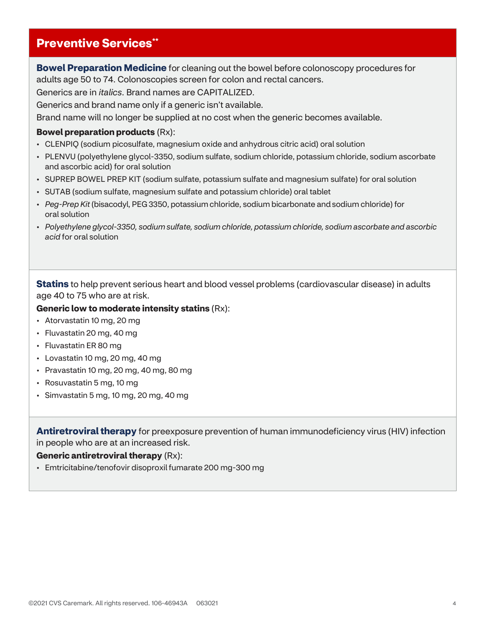## Preventive Services\*\*

**Bowel Preparation Medicine** for cleaning out the bowel before colonoscopy procedures for adults age 50 to 74. Colonoscopies screen for colon and rectal cancers.

Generics are in italics. Brand names are CAPITALIZED.

Generics and brand name only if a generic isn't available.

Brand name will no longer be supplied at no cost when the generic becomes available.

#### Bowel preparation products (Rx):

- CLENPIQ (sodium picosulfate, magnesium oxide and anhydrous citric acid) oral solution
- PLENVU (polyethylene glycol-3350, sodium sulfate, sodium chloride, potassium chloride, sodium ascorbate and ascorbic acid) for oral solution
- SUPREP BOWEL PREP KIT (sodium sulfate, potassium sulfate and magnesium sulfate) for oral solution
- SUTAB (sodium sulfate, magnesium sulfate and potassium chloride) oral tablet
- Peg-Prep Kit (bisacodyl, PEG 3350, potassium chloride, sodium bicarbonate and sodium chloride) for oral solution
- Polyethylene glycol-3350, sodium sulfate, sodium chloride, potassium chloride, sodium ascorbate and ascorbic acid for oral solution

**Statins** to help prevent serious heart and blood vessel problems (cardiovascular disease) in adults age 40 to 75 who are at risk.

#### Generic low to moderate intensity statins (Rx):

- Atorvastatin 10 mg, 20 mg
- Fluvastatin 20 mg, 40 mg
- Fluvastatin ER 80 mg
- Lovastatin 10 mg, 20 mg, 40 mg
- Pravastatin 10 mg, 20 mg, 40 mg, 80 mg
- Rosuvastatin 5 mg, 10 mg
- Simvastatin 5 mg, 10 mg, 20 mg, 40 mg

**Antiretroviral therapy** for preexposure prevention of human immunodeficiency virus (HIV) infection in people who are at an increased risk.

#### Generic antiretroviral therapy (Rx):

• Emtricitabine/tenofovir disoproxil fumarate 200 mg-300 mg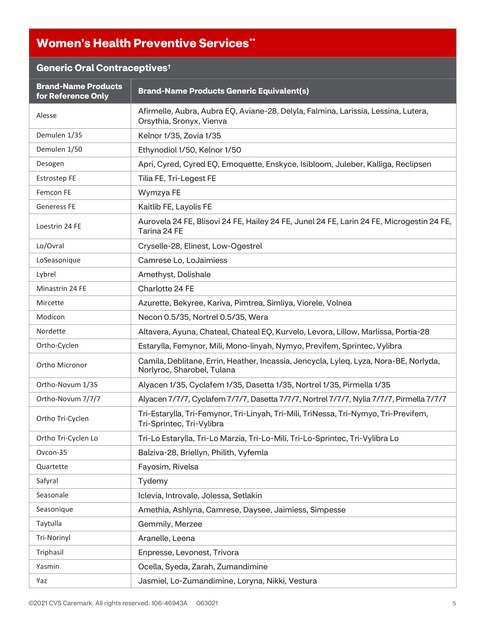## Women's Health Preventive Services\*\*

## Generic Oral Contraceptives†

| <b>Brand-Name Products</b><br>for Reference Only | <b>Brand-Name Products Generic Equivalent(s)</b>                                                                    |
|--------------------------------------------------|---------------------------------------------------------------------------------------------------------------------|
| Alesse                                           | Afirmelle, Aubra, Aubra EQ, Aviane-28, Delyla, Falmina, Larissia, Lessina, Lutera,<br>Orsythia, Sronyx, Vienva      |
| Demulen 1/35                                     | Kelnor 1/35, Zovia 1/35                                                                                             |
| Demulen 1/50                                     | Ethynodiol 1/50, Kelnor 1/50                                                                                        |
| Desogen                                          | Apri, Cyred, Cyred EQ, Emoquette, Enskyce, Isibloom, Juleber, Kalliga, Reclipsen                                    |
| <b>Estrostep FE</b>                              | Tilia FE, Tri-Legest FE                                                                                             |
| Femcon FE                                        | Wymzya FE                                                                                                           |
| <b>Generess FE</b>                               | Kaitlib FE, Layolis FE                                                                                              |
| Loestrin 24 FE                                   | Aurovela 24 FE, Blisovi 24 FE, Hailey 24 FE, Junel 24 FE, Larin 24 FE, Microgestin 24 FE,<br>Tarina 24 FE           |
| Lo/Ovral                                         | Cryselle-28, Elinest, Low-Ogestrel                                                                                  |
| LoSeasonique                                     | Camrese Lo, LoJaimiess                                                                                              |
| Lybrel                                           | Amethyst, Dolishale                                                                                                 |
| Minastrin 24 FE                                  | Charlotte 24 FE                                                                                                     |
| Mircette                                         | Azurette, Bekyree, Kariva, Pimtrea, Simliya, Viorele, Volnea                                                        |
| Modicon                                          | Necon 0.5/35, Nortrel 0.5/35, Wera                                                                                  |
| Nordette                                         | Altavera, Ayuna, Chateal, Chateal EQ, Kurvelo, Levora, Lillow, Marlissa, Portia-28                                  |
| Ortho-Cyclen                                     | Estarylla, Femynor, Mili, Mono-linyah, Nymyo, Previfem, Sprintec, Vylibra                                           |
| Ortho Micronor                                   | Camila, Deblitane, Errin, Heather, Incassia, Jencycla, Lyleq, Lyza, Nora-BE, Norlyda,<br>Norlyroc, Sharobel, Tulana |
| Ortho-Novum 1/35                                 | Alyacen 1/35, Cyclafem 1/35, Dasetta 1/35, Nortrel 1/35, Pirmella 1/35                                              |
| Ortho-Novum 7/7/7                                | Alyacen 7/7/7, Cyclafem 7/7/7, Dasetta 7/7/7, Nortrel 7/7/7, Nylia 7/7/7, Pirmella 7/7/7                            |
| Ortho Tri-Cyclen                                 | Tri-Estarylla, Tri-Femynor, Tri-Linyah, Tri-Mili, TriNessa, Tri-Nymyo, Tri-Previfem,<br>Tri-Sprintec, Tri-Vylibra   |
| Ortho Tri-Cyclen Lo                              | Tri-Lo Estarylla, Tri-Lo Marzia, Tri-Lo-Mili, Tri-Lo-Sprintec, Tri-Vylibra Lo                                       |
| Ovcon-35                                         | Balziva-28, Briellyn, Philith, Vyfemla                                                                              |
| Quartette                                        | Fayosim, Rivelsa                                                                                                    |
| Safyral                                          | Tydemy                                                                                                              |
| Seasonale                                        | Iclevia, Introvale, Jolessa, Setlakin                                                                               |
| Seasonique                                       | Amethia, Ashlyna, Camrese, Daysee, Jaimiess, Simpesse                                                               |
| Taytulla                                         | Gemmily, Merzee                                                                                                     |
| Tri-Norinyl                                      | Aranelle, Leena                                                                                                     |
| Triphasil                                        | Enpresse, Levonest, Trivora                                                                                         |
| Yasmin                                           | Ocella, Syeda, Zarah, Zumandimine                                                                                   |
| Yaz                                              | Jasmiel, Lo-Zumandimine, Loryna, Nikki, Vestura                                                                     |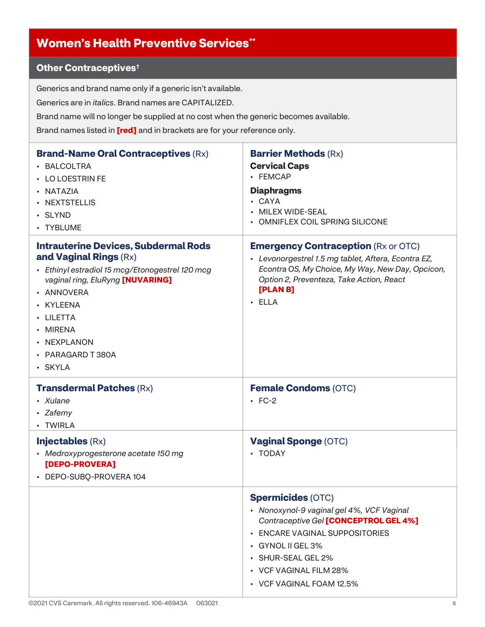## Women's Health Preventive Services\*\*

## Other Contraceptives†

Generics and brand name only if a generic isn't available.

Generics are in italics. Brand names are CAPITALIZED.

Brand name will no longer be supplied at no cost when the generic becomes available.

Brand names listed in [red] and in brackets are for your reference only.

| <b>Brand-Name Oral Contraceptives (Rx)</b><br>• BALCOLTRA<br>• LO LOESTRIN FE<br>• NATAZIA<br>• NEXTSTELLIS<br>• SLYND<br>• TYBLUME                                                                                                                             | <b>Barrier Methods (Rx)</b><br><b>Cervical Caps</b><br>• FEMCAP<br><b>Diaphragms</b><br>· CAYA<br>MILEX WIDE-SEAL<br><b>OMNIFLEX COIL SPRING SILICONE</b>                                                                                                                |
|-----------------------------------------------------------------------------------------------------------------------------------------------------------------------------------------------------------------------------------------------------------------|--------------------------------------------------------------------------------------------------------------------------------------------------------------------------------------------------------------------------------------------------------------------------|
| <b>Intrauterine Devices, Subdermal Rods</b><br>and Vaginal Rings (Rx)<br>• Ethinyl estradiol 15 mcg/Etonogestrel 120 mcg<br>vaginal ring, EluRyng [NUVARING]<br>• ANNOVERA<br>• KYLEENA<br>· LILETTA<br>• MIRENA<br>• NEXPLANON<br>• PARAGARD T 380A<br>· SKYLA | <b>Emergency Contraception (Rx or OTC)</b><br>• Levonorgestrel 1.5 mg tablet, Aftera, Econtra EZ,<br>Econtra OS, My Choice, My Way, New Day, Opcicon,<br>Option 2, Preventeza, Take Action, React<br>[PLAN B]<br>$\cdot$ ELLA                                            |
| <b>Transdermal Patches (Rx)</b><br>• Xulane<br>• Zafemy<br>• TWIRLA                                                                                                                                                                                             | <b>Female Condoms (OTC)</b><br>$\cdot$ FC-2                                                                                                                                                                                                                              |
| <b>Injectables (Rx)</b><br>• Medroxyprogesterone acetate 150 mg<br>[DEPO-PROVERA]<br>• DEPO-SUBQ-PROVERA 104                                                                                                                                                    | <b>Vaginal Sponge (OTC)</b><br>• TODAY                                                                                                                                                                                                                                   |
|                                                                                                                                                                                                                                                                 | <b>Spermicides (OTC)</b><br>• Nonoxynol-9 vaginal gel 4%, VCF Vaginal<br>Contraceptive Gel [CONCEPTROL GEL 4%]<br><b>ENCARE VAGINAL SUPPOSITORIES</b><br>$\bullet$<br><b>GYNOL II GEL 3%</b><br>• SHUR-SEAL GEL 2%<br>• VCF VAGINAL FILM 28%<br>• VCF VAGINAL FOAM 12.5% |